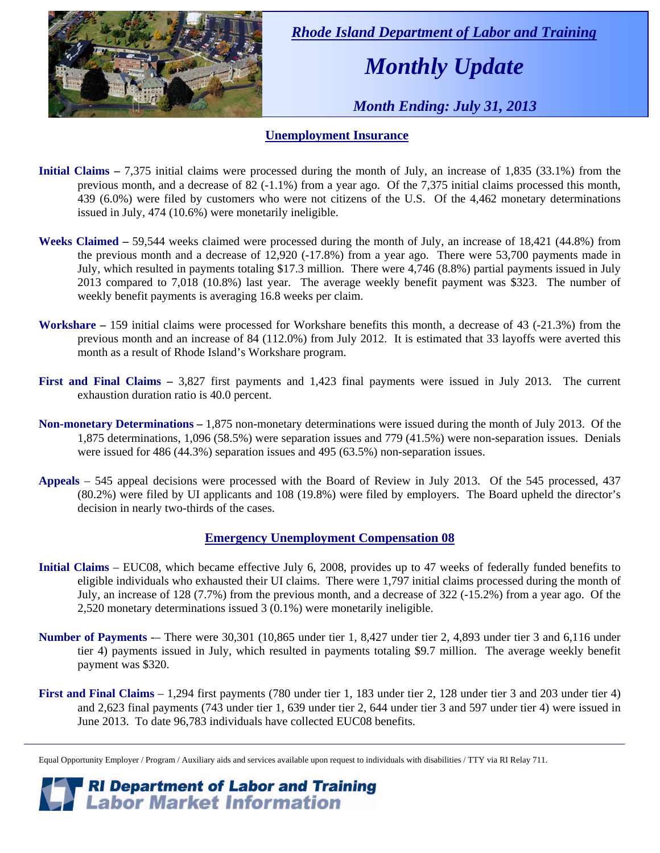

 *Rhode Island Department of Labor and Training* 

# *Monthly Update*

 *Month Ending: July 31, 2013* 

#### **Unemployment Insurance**

- **Initial Claims** 7,375 initial claims were processed during the month of July, an increase of 1,835 (33.1%) from the previous month, and a decrease of 82 (-1.1%) from a year ago. Of the 7,375 initial claims processed this month, 439 (6.0%) were filed by customers who were not citizens of the U.S. Of the 4,462 monetary determinations issued in July, 474 (10.6%) were monetarily ineligible.
- **Weeks Claimed** 59,544 weeks claimed were processed during the month of July, an increase of 18,421 (44.8%) from the previous month and a decrease of 12,920 (-17.8%) from a year ago. There were 53,700 payments made in July, which resulted in payments totaling \$17.3 million. There were 4,746 (8.8%) partial payments issued in July 2013 compared to 7,018 (10.8%) last year. The average weekly benefit payment was \$323. The number of weekly benefit payments is averaging 16.8 weeks per claim.
- **Workshare –** 159 initial claims were processed for Workshare benefits this month, a decrease of 43 (-21.3%) from the previous month and an increase of 84 (112.0%) from July 2012. It is estimated that 33 layoffs were averted this month as a result of Rhode Island's Workshare program.
- **First and Final Claims –** 3,827 first payments and 1,423 final payments were issued in July 2013. The current exhaustion duration ratio is 40.0 percent.
- **Non-monetary Determinations –** 1,875 non-monetary determinations were issued during the month of July 2013. Of the 1,875 determinations, 1,096 (58.5%) were separation issues and 779 (41.5%) were non-separation issues. Denials were issued for 486 (44.3%) separation issues and 495 (63.5%) non-separation issues.
- **Appeals** 545 appeal decisions were processed with the Board of Review in July 2013. Of the 545 processed, 437 (80.2%) were filed by UI applicants and 108 (19.8%) were filed by employers. The Board upheld the director's decision in nearly two-thirds of the cases.

#### **Emergency Unemployment Compensation 08**

- **Initial Claims**  EUC08, which became effective July 6, 2008, provides up to 47 weeks of federally funded benefits to eligible individuals who exhausted their UI claims. There were 1,797 initial claims processed during the month of July, an increase of 128 (7.7%) from the previous month, and a decrease of 322 (-15.2%) from a year ago. Of the 2,520 monetary determinations issued 3 (0.1%) were monetarily ineligible.
- **Number of Payments** -– There were 30,301 (10,865 under tier 1, 8,427 under tier 2, 4,893 under tier 3 and 6,116 under tier 4) payments issued in July, which resulted in payments totaling \$9.7 million. The average weekly benefit payment was \$320.
- **First and Final Claims**  1,294 first payments (780 under tier 1, 183 under tier 2, 128 under tier 3 and 203 under tier 4) and 2,623 final payments (743 under tier 1, 639 under tier 2, 644 under tier 3 and 597 under tier 4) were issued in June 2013. To date 96,783 individuals have collected EUC08 benefits.

*RI Department of Labor and Training*<br>*Labor Market Information* 

Equal Opportunity Employer / Program / Auxiliary aids and services available upon request to individuals with disabilities / TTY via RI Relay 711.